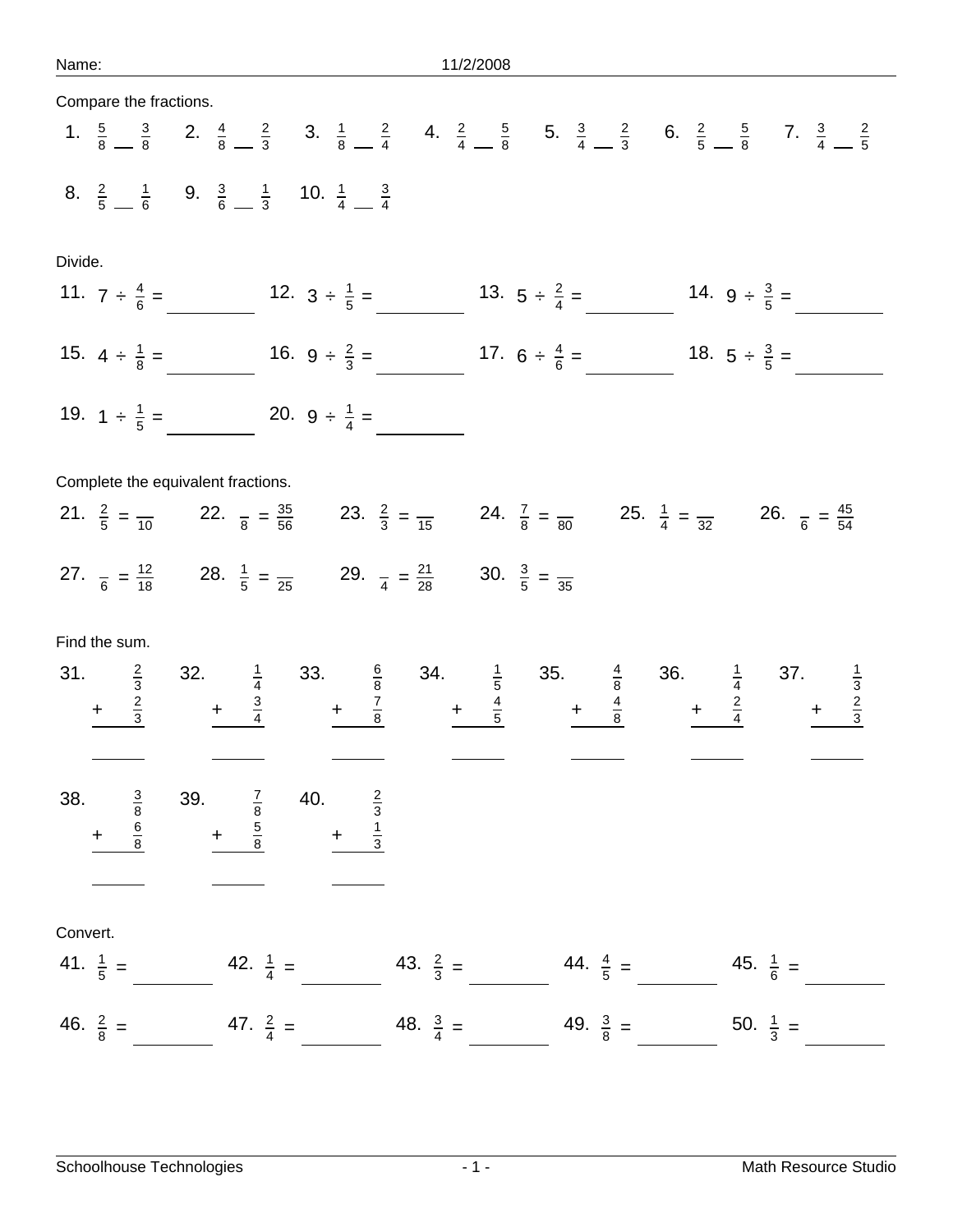| Compare the fractions.             |                                                                                                                                                                                                                                           |                     |                     |                     |
|------------------------------------|-------------------------------------------------------------------------------------------------------------------------------------------------------------------------------------------------------------------------------------------|---------------------|---------------------|---------------------|
|                                    | 1. $\frac{5}{8}$ $\frac{3}{8}$ 2. $\frac{4}{8}$ $\frac{2}{3}$ 3. $\frac{1}{8}$ $\frac{2}{4}$ 4. $\frac{2}{4}$ $\frac{5}{8}$ 5. $\frac{3}{4}$ $\frac{2}{3}$ 6. $\frac{2}{5}$ $\frac{5}{8}$ 7. $\frac{3}{4}$ $\frac{2}{5}$                  |                     |                     |                     |
|                                    | 8. $\frac{2}{5}$ $\frac{1}{6}$ 9. $\frac{3}{6}$ $\frac{1}{3}$ 10. $\frac{1}{4}$ $\frac{3}{4}$                                                                                                                                             |                     |                     |                     |
| Divide.                            |                                                                                                                                                                                                                                           |                     |                     |                     |
|                                    | 11. $7 \div \frac{4}{6} =$ 12. $3 \div \frac{1}{5} =$ 13. $5 \div \frac{2}{4} =$ 14. $9 \div \frac{3}{5} =$                                                                                                                               |                     |                     |                     |
|                                    | 15. $4 \div \frac{1}{8} =$ 16. $9 \div \frac{2}{3} =$ 17. $6 \div \frac{4}{6} =$ 18. $5 \div \frac{3}{5} =$                                                                                                                               |                     |                     |                     |
| 19. $1 \div \frac{1}{5} =$         | 20. $9 \div \frac{1}{4} =$                                                                                                                                                                                                                |                     |                     |                     |
| Complete the equivalent fractions. |                                                                                                                                                                                                                                           |                     |                     |                     |
|                                    | 21. $\frac{2}{5} = \frac{2}{10}$ 22. $\frac{1}{8} = \frac{35}{56}$ 23. $\frac{2}{3} = \frac{24}{15}$ 24. $\frac{7}{8} = \frac{1}{80}$ 25. $\frac{1}{4} = \frac{1}{32}$ 26. $\frac{1}{6} = \frac{45}{54}$                                  |                     |                     |                     |
|                                    | 27. $\frac{1}{6} = \frac{12}{18}$ 28. $\frac{1}{5} = \frac{12}{25}$ 29. $\frac{1}{4} = \frac{21}{28}$ 30. $\frac{3}{5} = \frac{12}{35}$                                                                                                   |                     |                     |                     |
| Find the sum.                      |                                                                                                                                                                                                                                           |                     |                     |                     |
|                                    |                                                                                                                                                                                                                                           |                     |                     |                     |
|                                    | 31. $\frac{2}{3}$ 32. $\frac{1}{4}$ 33. $\frac{6}{8}$ 34. $\frac{1}{5}$ 35. $\frac{4}{8}$ 36. $\frac{1}{4}$ 37. $\frac{1}{3}$<br>$+\frac{2}{3}$ $+\frac{3}{4}$ $+\frac{7}{8}$ $+\frac{4}{5}$ $+\frac{4}{8}$ $+\frac{2}{4}$ $+\frac{2}{3}$ |                     |                     |                     |
| 38.<br>39.                         | 40.                                                                                                                                                                                                                                       |                     |                     |                     |
| $\frac{3}{8}$<br>$\ddot{}$         | $\frac{7}{8}$ 5 5 8<br>$\frac{2}{3}$ $\frac{1}{3}$                                                                                                                                                                                        |                     |                     |                     |
|                                    |                                                                                                                                                                                                                                           |                     |                     |                     |
| Convert.                           |                                                                                                                                                                                                                                           |                     |                     |                     |
| 41. $\frac{1}{5}$ =                | 42. $\frac{1}{4}$ =                                                                                                                                                                                                                       | 43. $\frac{2}{3}$ = | 44. $\frac{4}{5}$ = | 45. $\frac{1}{6}$ = |
| 46. $\frac{2}{8}$ =                | 47. $\frac{2}{4}$ =                                                                                                                                                                                                                       | 48. $\frac{3}{4}$ = | 49. $\frac{3}{8}$ = | 50. $\frac{1}{3}$ = |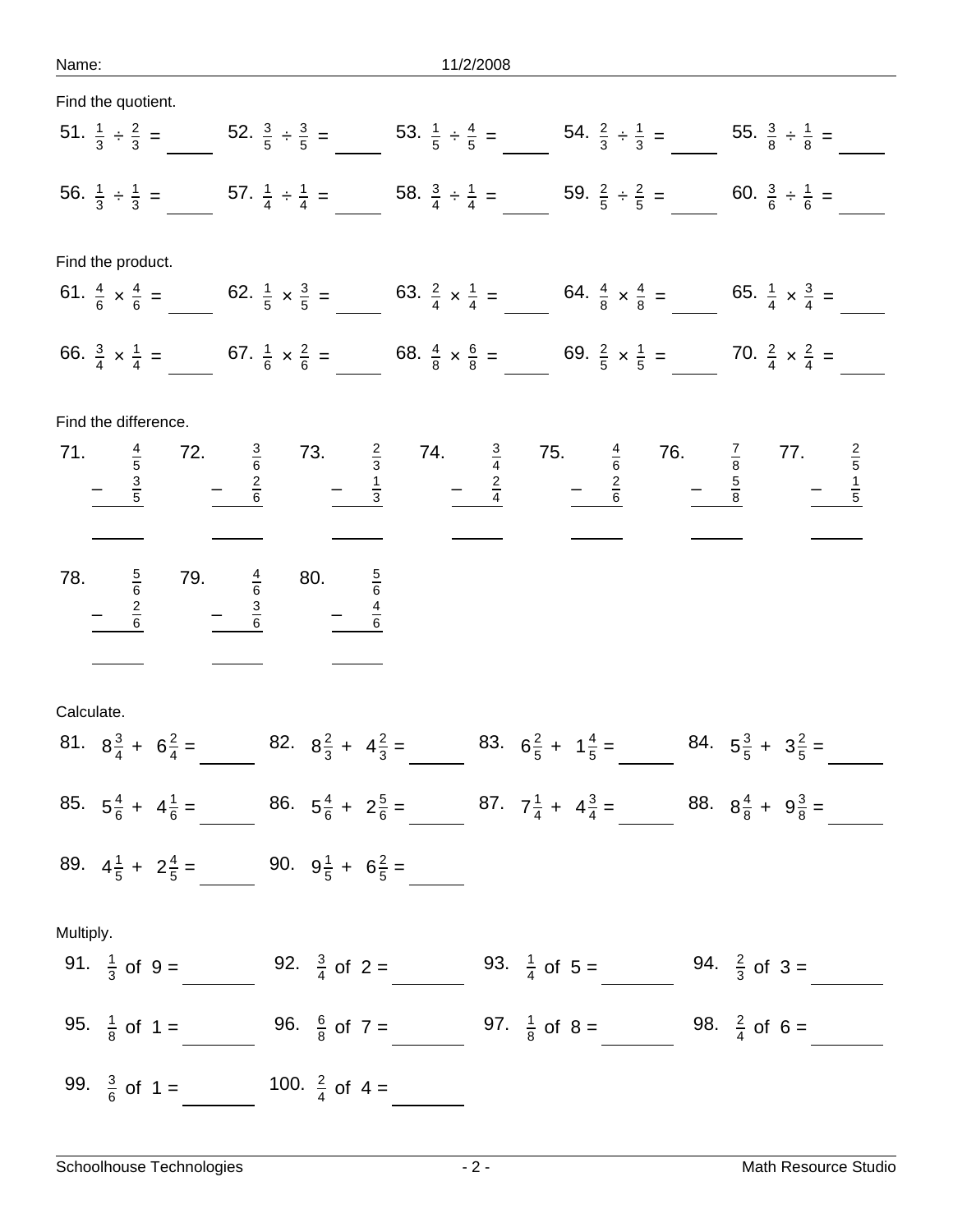Name: 11/2/2008

| Find the quotient.                                     |                                                                                                                                                                                                    |                                                                             |                                                                             |                                                                    |
|--------------------------------------------------------|----------------------------------------------------------------------------------------------------------------------------------------------------------------------------------------------------|-----------------------------------------------------------------------------|-----------------------------------------------------------------------------|--------------------------------------------------------------------|
|                                                        | 51. $\frac{1}{3} \div \frac{2}{3} =$ 52. $\frac{3}{5} \div \frac{3}{5} =$ 53. $\frac{1}{5} \div \frac{4}{5} =$ 54. $\frac{2}{3} \div \frac{1}{3} =$ 55. $\frac{3}{8} \div \frac{1}{8} =$           |                                                                             |                                                                             |                                                                    |
|                                                        | 56. $\frac{1}{3} \div \frac{1}{3} =$ 57. $\frac{1}{4} \div \frac{1}{4} =$ 58. $\frac{3}{4} \div \frac{1}{4} =$ 59. $\frac{2}{5} \div \frac{2}{5} =$ 60. $\frac{3}{6} \div \frac{1}{6} =$           |                                                                             |                                                                             |                                                                    |
| Find the product.                                      |                                                                                                                                                                                                    |                                                                             |                                                                             |                                                                    |
|                                                        | 61. $\frac{4}{6} \times \frac{4}{6} =$ 62. $\frac{1}{5} \times \frac{3}{5} =$ 63. $\frac{2}{4} \times \frac{1}{4} =$ 64. $\frac{4}{8} \times \frac{4}{8} =$ 65. $\frac{1}{4} \times \frac{3}{4} =$ |                                                                             |                                                                             |                                                                    |
|                                                        | 66. $\frac{3}{4} \times \frac{1}{4} =$ 67. $\frac{1}{6} \times \frac{2}{6} =$ 68. $\frac{4}{8} \times \frac{6}{8} =$ 69. $\frac{2}{5} \times \frac{1}{5} =$ 70. $\frac{2}{4} \times \frac{2}{4} =$ |                                                                             |                                                                             |                                                                    |
| Find the difference.                                   |                                                                                                                                                                                                    |                                                                             |                                                                             |                                                                    |
| $rac{3}{5}$                                            | 71. $\frac{4}{5}$ 72. $\frac{3}{6}$ 73. $\frac{2}{3}$ 74. $\frac{3}{4}$ 75. $\frac{4}{6}$ 76<br>$-\frac{3}{5}$ $-\frac{2}{6}$ $-\frac{1}{3}$ $-\frac{2}{4}$ $-\frac{2}{6}$                         |                                                                             |                                                                             | 76. $\frac{7}{8}$ 77. $\frac{2}{5}$<br>$\frac{5}{8}$ $\frac{1}{5}$ |
|                                                        |                                                                                                                                                                                                    |                                                                             |                                                                             |                                                                    |
| 78. $\frac{5}{6}$ 79. $\frac{4}{6}$ 80.<br>$rac{2}{6}$ | $rac{5}{6}$<br>$-\frac{4}{6}$                                                                                                                                                                      |                                                                             |                                                                             |                                                                    |
|                                                        |                                                                                                                                                                                                    |                                                                             |                                                                             |                                                                    |
| Calculate.                                             | 81. $8\frac{3}{4} + 6\frac{2}{4} = 82. 8\frac{2}{3} + 4\frac{2}{3} =$                                                                                                                              |                                                                             | 83. $6\frac{2}{5}$ + $1\frac{4}{5}$ = 84. $5\frac{3}{5}$ + $3\frac{2}{5}$ = |                                                                    |
| 85. $5\frac{4}{6}$ + $4\frac{1}{6}$ =                  |                                                                                                                                                                                                    | 86. $5\frac{4}{6} + 2\frac{5}{6} = 87$ . $7\frac{1}{4} + 4\frac{3}{4} = 87$ |                                                                             | 88. $8\frac{4}{8} + 9\frac{3}{8} =$                                |
| 89. $4\frac{1}{5}$ + $2\frac{4}{5}$ =                  | 90. $9\frac{1}{5}$ + $6\frac{2}{5}$ =                                                                                                                                                              |                                                                             |                                                                             |                                                                    |
| Multiply.                                              |                                                                                                                                                                                                    |                                                                             |                                                                             |                                                                    |
| 91. $\frac{1}{3}$ of 9 =                               | 92. $\frac{3}{4}$ of 2 =                                                                                                                                                                           |                                                                             | 93. $\frac{1}{4}$ of 5 =                                                    | 94. $\frac{2}{3}$ of 3 =                                           |
| 95. $\frac{1}{8}$ of 1 =                               | 96. $\frac{6}{8}$ of 7 =                                                                                                                                                                           | 97. $\frac{1}{8}$ of 8 =                                                    |                                                                             | 98. $\frac{2}{4}$ of 6 =                                           |
| 99. $\frac{3}{6}$ of 1 =                               | 100. $\frac{2}{4}$ of 4 =                                                                                                                                                                          |                                                                             |                                                                             |                                                                    |